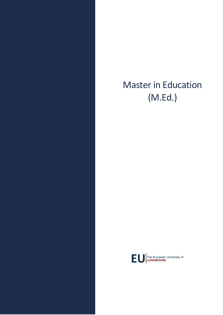# Master in Education (M.Ed.)

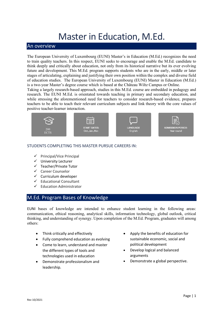## Master in Education, M.Ed.

#### An overview

The European University of Luxembourg (EUNI) Master's in Education (M.Ed.) recognizes the need to train quality teachers. In this respect, EUNI seeks to encourage and enable the M.Ed. candidate to think deeply and critically about education, not only from its historical narrative but its ever evolving future and development. This M.Ed. program supports students who are in the early, middle or later stages of articulating, explaining and justifying their own position within the complex and diverse field of education studies. The European University of Luxembourg (EUNI) Master in Education (M.Ed.) is a two-year Master's degree course which is based at the Château Wiltz Campus or Online.

Taking a largely research-based approach, studies in this M.Ed. course are embedded in pedagogy and research. The EUNI M.Ed. is orientated towards teaching in primary and secondary education, and while stressing the aforementioned need for teachers to consider research-based evidence, prepares teachers to be able to teach their relevant curriculum subjects and link theory with the core values of positive teacher-learner interaction.



#### STUDENTS COMPLETING THIS MASTER PURSUE CAREERS IN:

- $\checkmark$  Principal/Vice Principal
- $\checkmark$  University Lecturer
- $\checkmark$  Teacher/Private Tutor
- $\checkmark$  Career Counselor
- $\checkmark$  Curriculum developer
- $\checkmark$  Educational Consultant
- $\checkmark$  Education Administrator

#### M.Ed. Program Bases of Knowledge

EUNI bases of knowledge are intended to enhance student learning in the following areas: communication, ethical reasoning, analytical skills, information technology, global outlook, critical thinking, and understanding of synergy. Upon completion of the M.Ed. Program, graduates will among others:

- Think critically and effectively
- Fully comprehend education as evolving
- Come to learn, understand and master the different types of tools and technologies used in education
- Demonstrate professionalism and leadership.
- Apply the benefits of education for sustainable economic, social and political development
- Develop logical and balanced arguments
- Demonstrate a global perspective.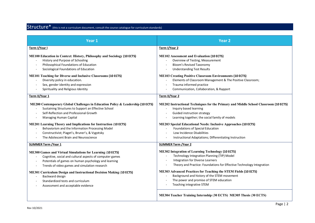### Structure\* (this is not a curriculum document, consult the course catalogue for curriculum standards)

| Year 1                                                                                                                                                                                                                                                                                                                                                                                                                                 | <b>Year 2</b>                                                                                                                                                                                                                                                                                                                                                                                                          |
|----------------------------------------------------------------------------------------------------------------------------------------------------------------------------------------------------------------------------------------------------------------------------------------------------------------------------------------------------------------------------------------------------------------------------------------|------------------------------------------------------------------------------------------------------------------------------------------------------------------------------------------------------------------------------------------------------------------------------------------------------------------------------------------------------------------------------------------------------------------------|
| Term I/Year I                                                                                                                                                                                                                                                                                                                                                                                                                          | Term I/Year 2                                                                                                                                                                                                                                                                                                                                                                                                          |
| <b>ME100 Education in Context: History, Philosophy and Sociology (10 ECTS)</b><br>History and Purpose of Schooling<br>Philosophical Foundations of Education<br>Sociological Foundations of Education<br><b>ME101 Teaching for Diverse and Inclusive Classrooms (10 ECTS)</b><br>Diversity policy in education.<br>Sex, gender identity and expression<br>Spirituality and Religious Identity                                          | <b>ME102 Assessment and Evaluation (10 ECTS)</b><br>Overview of Testing, Measurement<br><b>Bloom's Revised Taxonomy</b><br><b>Understanding Test Results</b><br><b>ME103 Creating Positive Classroom Environments (10 ECTS)</b><br>Elements of Classroom Management & The Positive Classroom;<br>Trauma informed practice<br>Communication, Collaboration, & Rapport                                                   |
| Term II/Year 1                                                                                                                                                                                                                                                                                                                                                                                                                         | Term II/Year 2                                                                                                                                                                                                                                                                                                                                                                                                         |
| ME200 Contemporary Global Challenges in Education Policy & Leadership (10 ECTS)<br>Sustaining Structures to Support an Effective School<br>Self-Reflection and Professional Growth<br>Managing Human Capital<br><b>ME201 Learning Theory and Implications for Instruction (10 ECTS)</b><br>Behaviorism and the Information Processing Model<br>Constructivist; Piaget's, Bruner's, & Vygotsky<br>The Adolescent Brain and Neuroscience | ME202 Instructional Techniques for the Primary and Middle School Classroom (10 ECTS)<br>Inquiry based learning<br>Guided instruction strategy<br>Learning together; the social family of models<br><b>ME203 Special Educational Needs: Inclusive Approaches (10 ECTS)</b><br>Foundations of Special Education<br>Low Incidence Disabilities<br>Instructional Adaptations; Differentiating Instruction                  |
| <b>SUMMER Term / Year 1</b>                                                                                                                                                                                                                                                                                                                                                                                                            | <b>SUMMER Term / Year 2</b>                                                                                                                                                                                                                                                                                                                                                                                            |
| <b>ME300 Games and Virtual Simulations for Learning (10 ECTS)</b><br>Cognitive, social and cultural aspects of computer games<br>Potentials of games on human psychology and learning<br>Trends of video games and simulation research<br><b>ME301 Curriculum Design and Instructional Decision Making (10 ECTS)</b><br>Backward design<br>Standardized tests and curriculum<br>Assessment and acceptable evidence                     | <b>ME302 Integration of Learning Technology (10 ECTS)</b><br>Technology Integration Planning (TIP) Model<br>Integration for Diverse Learners<br>Theory and Practice: Foundations for Effective Technology Integration<br><b>ME303 Advanced Practices for Teaching the STEM Fields (10 ECTS)</b><br>Background and history of the STEM movement<br>The power and promise of STEM education<br>Teaching integrative STEM |
|                                                                                                                                                                                                                                                                                                                                                                                                                                        | ME304 Teacher Training Internship (30 ECTS) ME305 Thesis (30 ECTS)                                                                                                                                                                                                                                                                                                                                                     |